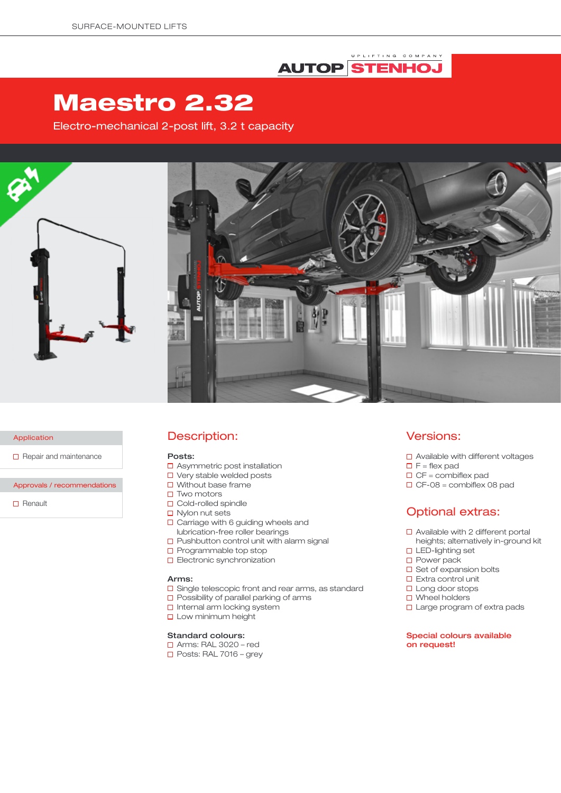### UPLIFTING COMPANY **AUTOP STENHOJ**

# Maestro 2.32

Electro-mechanical 2-post lift, 3.2 t capacity



Application

 $\Box$  Repair and maintenance

Approvals / recommendations

 $\Box$  Renault

### Description:

#### Posts:

- □ Asymmetric post installation
- □ Very stable welded posts
- $\Box$  Without base frame
- $\square$  Two motors
- **D** Cold-rolled spindle
- $\Box$  Nylon nut sets
- $\Box$  Carriage with 6 guiding wheels and lubrication-free roller bearings
- $\square$  Pushbutton control unit with alarm signal
- $\square$  Programmable top stop
- **D** Electronic synchronization

#### Arms:

- □ Single telescopic front and rear arms, as standard
- $\square$  Possibility of parallel parking of arms
- □ Internal arm locking system
- **Low minimum height**

### Standard colours:

- Arms: RAL 3020 red
- $\Box$  Posts: RAL 7016 grey

### Versions:

- □ Available with different voltages
- $\Box$  F = flex pad
- $\Box$  CF = combiflex pad
- $\Box$  CF-08 = combiflex 08 pad

## Optional extras:

- □ Available with 2 different portal heights; alternatively in-ground kit
- □ LED-lighting set
- □ Power pack
- $\Box$  Set of expansion bolts
- □ Extra control unit
- $\square$  Long door stops
- □ Wheel holders
- □ Large program of extra pads

### Special colours available on request!